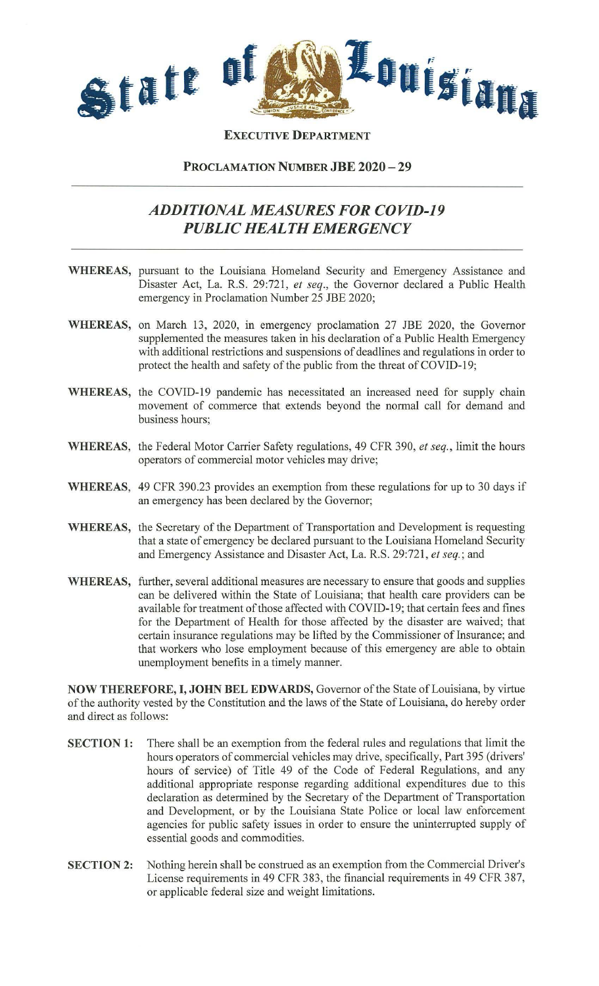

**EXECUTIVE DEPARTMENT** 

## **PROCLAMATION NUMBER JBE 2020 - 29**

## *ADDITIONAL MEASURES FOR COVID-19 PUBLIC HEALTH EMERGENCY*

- **WHEREAS,** pursuant to the Louisiana Homeland Security and Emergency Assistance and Disaster Act, La. R.S. 29:721, *et seq.,* the Governor declared a Public Health emergency in Proclamation Number 25 JBE 2020;
- **WHEREAS,** on March 13, 2020, in emergency proclamation 27 JBE 2020, the Governor supplemented the measures taken in his declaration of a Public Health Emergency with additional restrictions and suspensions of deadlines and regulations in order to protect the health and safety of the public from the threat of COVID-19;
- **WHEREAS,** the COVID-19 pandemic has necessitated an increased need for supply chain movement of commerce that extends beyond the normal call for demand and business hours;
- **WHEREAS,** the Federal Motor Carrier Safety regulations, 49 CFR 390, *et seq.,* limit the hours operators of commercial motor vehicles may drive;
- **WHEREAS,** 49 CFR 390.23 provides an exemption from these regulations for up to 30 days if an emergency has been declared by the Governor;
- **WHEREAS,** the Secretary of the Department of Transportation and Development is requesting that a state of emergency be declared pursuant to the Louisiana Homeland Security and Emergency Assistance and Disaster Act, La. R.S. 29:721, *et seq.;* and
- **WHEREAS,** further, several additional measures are necessary to ensure that goods and supplies can be delivered within the State of Louisiana; that health care providers can be available for treatment of those affected with COVID-19; that certain fees and fines for the Department of Health for those affected by the disaster are waived; that certain insurance regulations may be lifted by the Commissioner of Insurance; and that workers who lose employment because of this emergency are able to obtain unemployment benefits in a timely manner.

**NOW THEREFORE, I, JOHN BEL EDWARDS,** Governor of the State of Louisiana, by virtue of the authority vested by the Constitution and the laws of the State of Louisiana, do hereby order and direct as follows:

- **SECTION 1:** There shall be an exemption from the federal rules and regulations that limit the hours operators of commercial vehicles may drive, specifically, Part 395 (drivers' hours of service) of Title 49 of the Code of Federal Regulations, and any additional appropriate response regarding additional expenditures due to this declaration as determined by the Secretary of the Department of Transportation and Development, or by the Louisiana State Police or local law enforcement agencies for public safety issues in order to ensure the uninterrupted supply of essential goods and commodities.
- **SECTION 2:** Nothing herein shall be construed as an exemption from the Commercial Driver's License requirements in 49 CFR 383, the financial requirements in 49 CFR 387, or applicable federal size and weight limitations.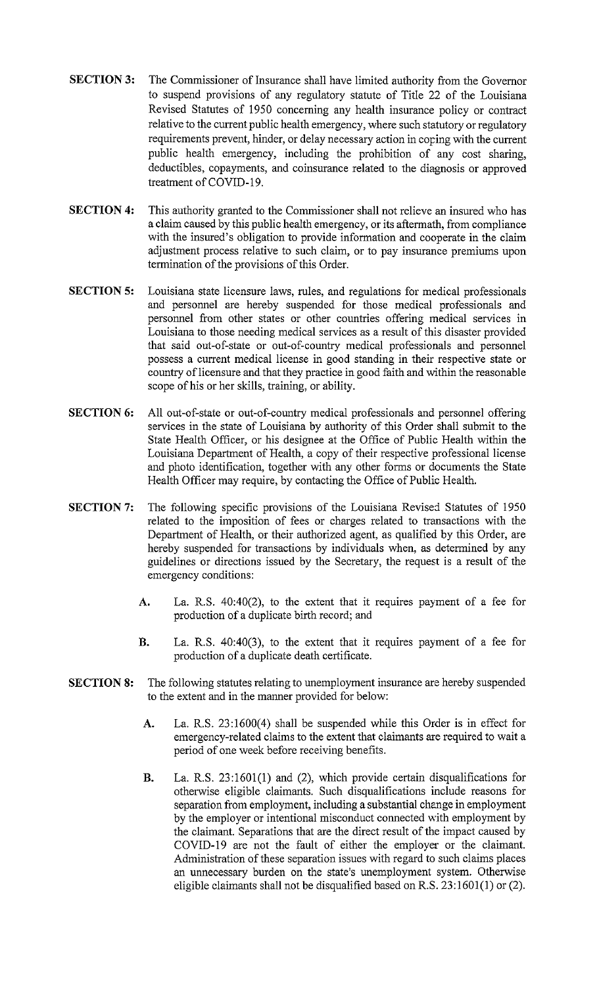- **SECTION 3:** The Commissioner of Insurance shall have limited authority from the Governor to suspend provisions of any regulatory statute of Title 22 of the Louisiana Revised Statutes of 1950 concerning any health insurance policy or contract relative to the current public health emergency, where such statutory or regulatory requirements prevent, hinder, or delay necessary action in coping with the current public health emergency, including the prohibition of any cost sharing, deductibles, copayments, and coinsurance related to the diagnosis or approved treatment of COVID-19.
- **SECTION 4:** This authority granted to the Commissioner shall not relieve an insured who has a claim caused by this public health emergency, or its aftermath, from compliance with the insured's obligation to provide information and cooperate in the claim adjustment process relative to such claim, or to pay insurance premiums upon termination of the provisions of this Order.
- **SECTION 5:** Louisiana state licensure laws, rules, and regulations for medical professionals and personnel are hereby suspended for those medical professionals and personnel from other states or other countries offering medical services in Louisiana to those needing medical services as a result of this disaster provided that said out-of-state or out-of-country medical professionals and personnel possess a current medical license in good standing in their respective state or country of licensure and that they practice in good faith and within the reasonable scope of his or her skills, training, or ability.
- **SECTION 6:** All out-of-state or out-of-country medical professionals and personnel offering services in the state of Louisiana by authority of this Order shall submit to the State Health Officer, or his designee at the Office of Public Health within the Louisiana Department of Health, a copy of their respective professional license and photo identification, together with any other forms or documents the State Health Officer may require, by contacting the Office of Public Health.
- **SECTION 7:** The following specific provisions of the Louisiana Revised Statutes of 1950 related to the imposition of fees or charges related to transactions with the Department of Health, or their authorized agent, as qualified by this Order, are hereby suspended for transactions by individuals when, as determined by any guidelines or directions issued by the Secretary, the request is a result of the emergency conditions:
	- A. La. R.S. 40:40(2), to the extent that it requires payment of a fee for production of a duplicate birth record; and
	- **B.** La. R.S. 40:40(3), to the extent that it requires payment of a fee for production of a duplicate death certificate.
- **SECTION 8:** The following statutes relating to unemployment insurance are hereby suspended to the extent and in the manner provided for below:
	- A. La. R.S. 23:1600(4) shall be suspended while this Order is in effect for emergency-related claims to the extent that claimants are required to wait a period of one week before receiving benefits.
	- B. La. R.S. 23:1601(1) and (2), which provide certain disqualifications for otherwise eligible claimants. Such disqualifications include reasons for separation from employment, including a substantial change in employment by the employer or intentional misconduct connected with employment by the claimant. Separations that are the direct result of the impact caused by COVID-19 are not the fault of either the employer or the claimant. Administration of these separation issues with regard to such claims places an unnecessary burden on the state's unemployment system. Otherwise eligible claimants shall not be disqualified based on R.S.  $23:1601(1)$  or (2).